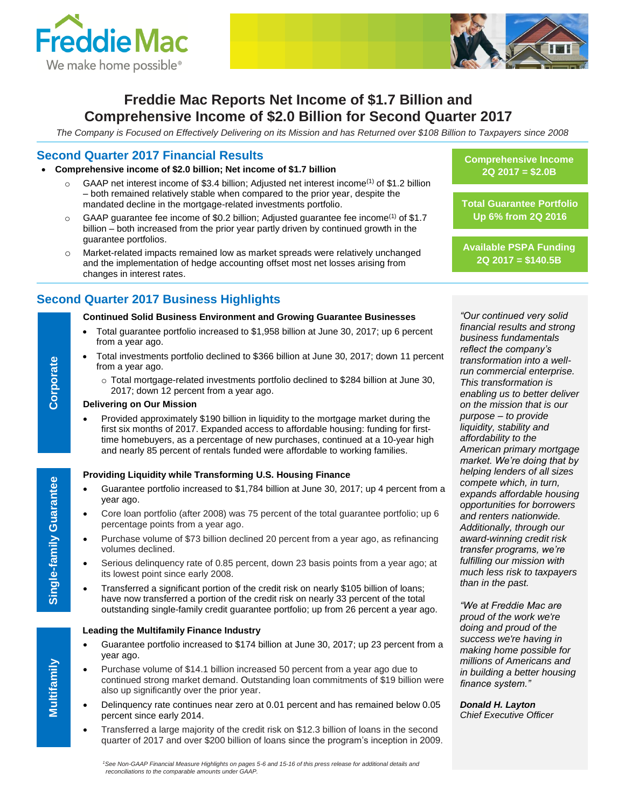



# **Freddie Mac Reports Net Income of \$1.7 Billion and Comprehensive Income of \$2.0 Billion for Second Quarter 2017**

*The Company is Focused on Effectively Delivering on its Mission and has Returned over \$108 Billion to Taxpayers since 2008*

## **Second Quarter 2017 Financial Results**

#### **Comprehensive income of \$2.0 billion; Net income of \$1.7 billion**

- $\circ$  GAAP net interest income of \$3.4 billion; Adjusted net interest income<sup>(1)</sup> of \$1.2 billion – both remained relatively stable when compared to the prior year, despite the mandated decline in the mortgage-related investments portfolio.
- $\circ$  GAAP guarantee fee income of \$0.2 billion; Adjusted guarantee fee income<sup>(1)</sup> of \$1.7 billion – both increased from the prior year partly driven by continued growth in the guarantee portfolios.
- o Market-related impacts remained low as market spreads were relatively unchanged and the implementation of hedge accounting offset most net losses arising from changes in interest rates.

## **Second Quarter 2017 Business Highlights**

#### **Continued Solid Business Environment and Growing Guarantee Businesses**

- Total guarantee portfolio increased to \$1,958 billion at June 30, 2017; up 6 percent from a year ago.
- Total investments portfolio declined to \$366 billion at June 30, 2017; down 11 percent from a year ago.
	- $\circ$  Total mortgage-related investments portfolio declined to \$284 billion at June 30, 2017; down 12 percent from a year ago.

#### **Delivering on Our Mission**

 Provided approximately \$190 billion in liquidity to the mortgage market during the first six months of 2017. Expanded access to affordable housing: funding for firsttime homebuyers, as a percentage of new purchases, continued at a 10-year high and nearly 85 percent of rentals funded were affordable to working families.

#### **Providing Liquidity while Transforming U.S. Housing Finance**

- Guarantee portfolio increased to \$1,784 billion at June 30, 2017; up 4 percent from a year ago.
- Core loan portfolio (after 2008) was 75 percent of the total guarantee portfolio; up 6 percentage points from a year ago.
- Purchase volume of \$73 billion declined 20 percent from a year ago, as refinancing volumes declined.
- Serious delinquency rate of 0.85 percent, down 23 basis points from a year ago; at its lowest point since early 2008.
- Transferred a significant portion of the credit risk on nearly \$105 billion of loans; have now transferred a portion of the credit risk on nearly 33 percent of the total outstanding single-family credit guarantee portfolio; up from 26 percent a year ago.

#### **Leading the Multifamily Finance Industry**

- Guarantee portfolio increased to \$174 billion at June 30, 2017; up 23 percent from a year ago.
- Purchase volume of \$14.1 billion increased 50 percent from a year ago due to continued strong market demand. Outstanding loan commitments of \$19 billion were also up significantly over the prior year.
- Delinquency rate continues near zero at 0.01 percent and has remained below 0.05 percent since early 2014.
- Transferred a large majority of the credit risk on \$12.3 billion of loans in the second quarter of 2017 and over \$200 billion of loans since the program's inception in 2009.

**Comprehensive Income 2Q 2017 = \$2.0B**

**Total Guarantee Portfolio Up 6% from 2Q 2016**

**Available PSPA Funding 2Q 2017 = \$140.5B**

*"Our continued very solid financial results and strong business fundamentals reflect the company's transformation into a wellrun commercial enterprise. This transformation is enabling us to better deliver on the mission that is our purpose – to provide liquidity, stability and affordability to the American primary mortgage market. We're doing that by helping lenders of all sizes compete which, in turn, expands affordable housing opportunities for borrowers and renters nationwide. Additionally, through our award-winning credit risk transfer programs, we're fulfilling our mission with much less risk to taxpayers than in the past.* 

*"We at Freddie Mac are proud of the work we're doing and proud of the success we're having in making home possible for millions of Americans and in building a better housing finance system."*

*Donald H. Layton Chief Executive Officer*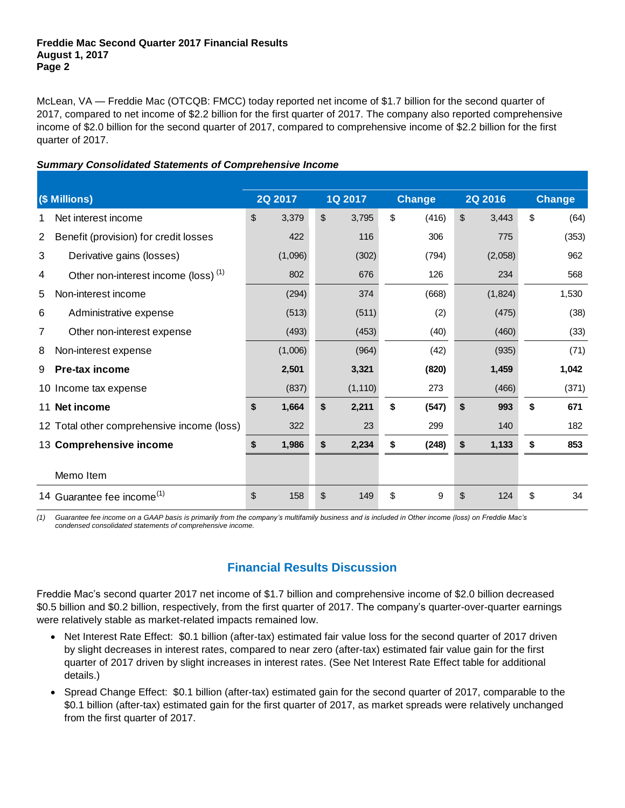McLean, VA — Freddie Mac (OTCQB: FMCC) today reported net income of \$1.7 billion for the second quarter of 2017, compared to net income of \$2.2 billion for the first quarter of 2017. The company also reported comprehensive income of \$2.0 billion for the second quarter of 2017, compared to comprehensive income of \$2.2 billion for the first quarter of 2017.

## *Summary Consolidated Statements of Comprehensive Income*

|     | $($ Millions)                                                                                                                                     | 2Q 2017     |                         | 1Q 2017  | <b>Change</b> |             | <b>2Q 2016</b> | <b>Change</b> |
|-----|---------------------------------------------------------------------------------------------------------------------------------------------------|-------------|-------------------------|----------|---------------|-------------|----------------|---------------|
|     | Net interest income                                                                                                                               | \$<br>3,379 | \$                      | 3,795    | \$<br>(416)   | \$          | 3,443          | \$<br>(64)    |
| 2   | Benefit (provision) for credit losses                                                                                                             | 422         |                         | 116      | 306           |             | 775            | (353)         |
| 3   | Derivative gains (losses)                                                                                                                         | (1,096)     |                         | (302)    | (794)         |             | (2,058)        | 962           |
| 4   | Other non-interest income (loss) <sup>(1)</sup>                                                                                                   | 802         |                         | 676      | 126           |             | 234            | 568           |
| 5   | Non-interest income                                                                                                                               | (294)       |                         | 374      | (668)         |             | (1,824)        | 1,530         |
| 6   | Administrative expense                                                                                                                            | (513)       |                         | (511)    | (2)           |             | (475)          | (38)          |
| 7   | Other non-interest expense                                                                                                                        | (493)       |                         | (453)    | (40)          |             | (460)          | (33)          |
| 8   | Non-interest expense                                                                                                                              | (1,006)     |                         | (964)    | (42)          |             | (935)          | (71)          |
| 9   | <b>Pre-tax income</b>                                                                                                                             | 2,501       |                         | 3,321    | (820)         |             | 1,459          | 1,042         |
|     | 10 Income tax expense                                                                                                                             | (837)       |                         | (1, 110) | 273           |             | (466)          | (371)         |
| 11  | Net income                                                                                                                                        | \$<br>1,664 | \$                      | 2,211    | \$<br>(547)   | \$          | 993            | \$<br>671     |
|     | 12 Total other comprehensive income (loss)                                                                                                        | 322         |                         | 23       | 299           |             | 140            | 182           |
|     | 13 Comprehensive income                                                                                                                           | \$<br>1,986 | \$                      | 2,234    | \$<br>(248)   | \$<br>1,133 |                | \$<br>853     |
|     | Memo Item                                                                                                                                         |             |                         |          |               |             |                |               |
|     | 14 Guarantee fee income <sup>(1)</sup>                                                                                                            | \$<br>158   | $\sqrt[6]{\frac{1}{2}}$ | 149      | \$<br>9       | \$          | 124            | \$<br>34      |
| (1) | Guarantee fee income on a GAAP basis is primarily from the company's multifamily business and is included in Other income (loss) on Freddie Mac's |             |                         |          |               |             |                |               |

*(1) Guarantee fee income on a GAAP basis is primarily from the company's multifamily business and is included in Other income (loss) on Freddie Mac's condensed consolidated statements of comprehensive income.* 

## **Financial Results Discussion**

Freddie Mac's second quarter 2017 net income of \$1.7 billion and comprehensive income of \$2.0 billion decreased \$0.5 billion and \$0.2 billion, respectively, from the first quarter of 2017. The company's quarter-over-quarter earnings were relatively stable as market-related impacts remained low.

- Net Interest Rate Effect: \$0.1 billion (after-tax) estimated fair value loss for the second quarter of 2017 driven by slight decreases in interest rates, compared to near zero (after-tax) estimated fair value gain for the first quarter of 2017 driven by slight increases in interest rates. (See Net Interest Rate Effect table for additional details.)
- Spread Change Effect: \$0.1 billion (after-tax) estimated gain for the second quarter of 2017, comparable to the \$0.1 billion (after-tax) estimated gain for the first quarter of 2017, as market spreads were relatively unchanged from the first quarter of 2017.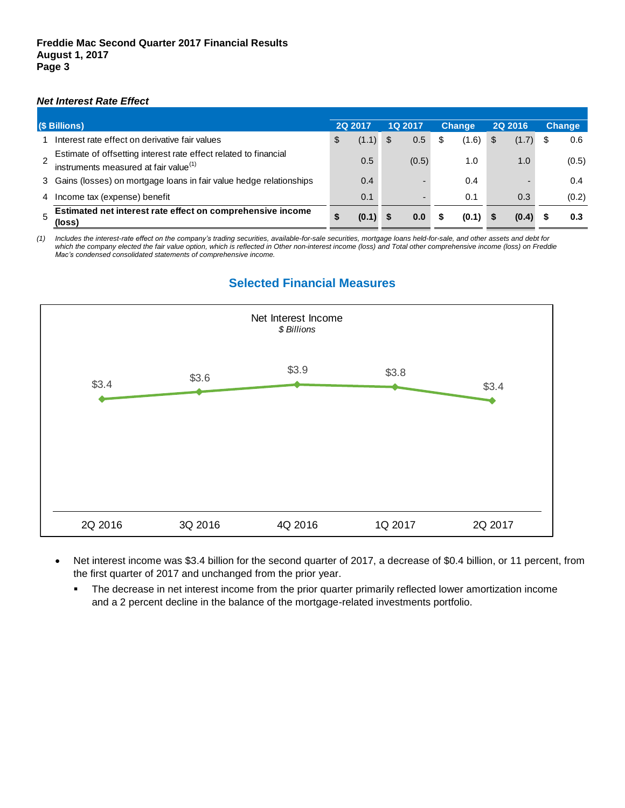### *Net Interest Rate Effect*

| (\$ Billions) |                                                                                                                       | <b>2Q 2017</b> |       | 1Q 2017 |       |   | <b>Change</b> | <b>2Q 2016</b> | <b>Change</b> |
|---------------|-----------------------------------------------------------------------------------------------------------------------|----------------|-------|---------|-------|---|---------------|----------------|---------------|
|               | Interest rate effect on derivative fair values                                                                        | \$             | (1.1) | - \$    | 0.5   | S | (1.6)         | \$<br>(1.7)    | 0.6           |
|               | Estimate of offsetting interest rate effect related to financial<br>instruments measured at fair value <sup>(1)</sup> |                | 0.5   |         | (0.5) |   | 1.0           | 1.0            | (0.5)         |
|               | 3 Gains (losses) on mortgage loans in fair value hedge relationships                                                  |                | 0.4   |         |       |   | 0.4           |                | 0.4           |
| 4             | Income tax (expense) benefit                                                                                          |                | 0.1   |         |       |   | 0.1           | 0.3            | (0.2)         |
|               | Estimated net interest rate effect on comprehensive income<br>(loss)                                                  | \$             | (0.1) |         | 0.0   |   | (0.1)         | (0.4)          | 0.3           |

*(1) Includes the interest-rate effect on the company's trading securities, available-for-sale securities, mortgage loans held-for-sale, and other assets and debt for which the company elected the fair value option, which is reflected in Other non-interest income (loss) and Total other comprehensive income (loss) on Freddie Mac's condensed consolidated statements of comprehensive income.*

# **Selected Financial Measures**



- Net interest income was \$3.4 billion for the second quarter of 2017, a decrease of \$0.4 billion, or 11 percent, from the first quarter of 2017 and unchanged from the prior year.
	- The decrease in net interest income from the prior quarter primarily reflected lower amortization income and a 2 percent decline in the balance of the mortgage-related investments portfolio.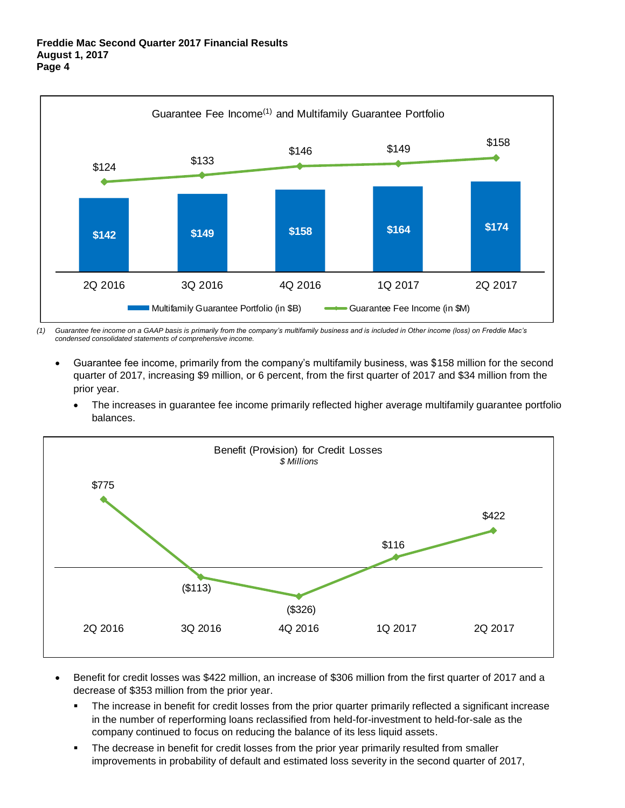

*(1) Guarantee fee income on a GAAP basis is primarily from the company's multifamily business and is included in Other income (loss) on Freddie Mac's condensed consolidated statements of comprehensive income.*

- Guarantee fee income, primarily from the company's multifamily business, was \$158 million for the second quarter of 2017, increasing \$9 million, or 6 percent, from the first quarter of 2017 and \$34 million from the prior year.
	- The increases in guarantee fee income primarily reflected higher average multifamily guarantee portfolio balances.



- Benefit for credit losses was \$422 million, an increase of \$306 million from the first quarter of 2017 and a decrease of \$353 million from the prior year.
	- The increase in benefit for credit losses from the prior quarter primarily reflected a significant increase in the number of reperforming loans reclassified from held-for-investment to held-for-sale as the company continued to focus on reducing the balance of its less liquid assets.
	- The decrease in benefit for credit losses from the prior year primarily resulted from smaller improvements in probability of default and estimated loss severity in the second quarter of 2017,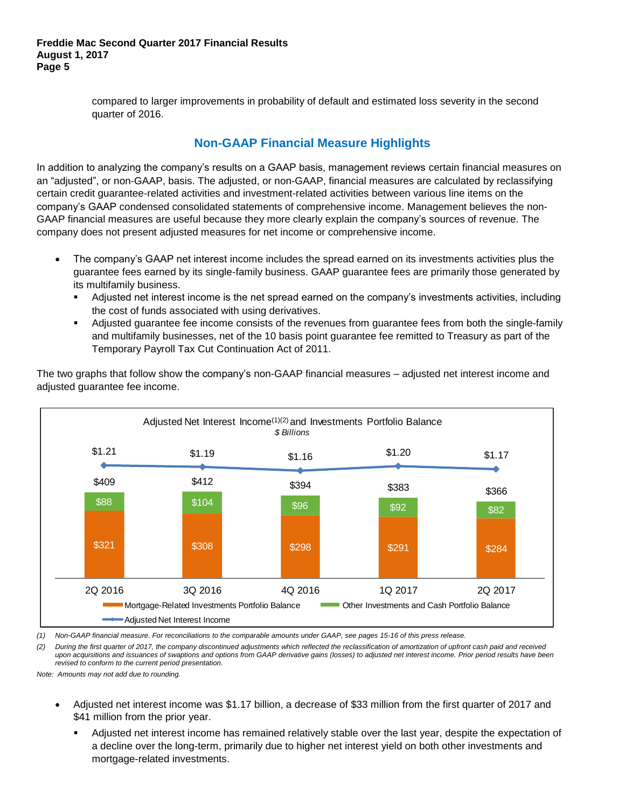compared to larger improvements in probability of default and estimated loss severity in the second quarter of 2016.

# **Non-GAAP Financial Measure Highlights**

In addition to analyzing the company's results on a GAAP basis, management reviews certain financial measures on an "adjusted", or non-GAAP, basis. The adjusted, or non-GAAP, financial measures are calculated by reclassifying certain credit guarantee-related activities and investment-related activities between various line items on the company's GAAP condensed consolidated statements of comprehensive income. Management believes the non-GAAP financial measures are useful because they more clearly explain the company's sources of revenue. The company does not present adjusted measures for net income or comprehensive income.

- The company's GAAP net interest income includes the spread earned on its investments activities plus the guarantee fees earned by its single-family business. GAAP guarantee fees are primarily those generated by its multifamily business.
	- Adjusted net interest income is the net spread earned on the company's investments activities, including the cost of funds associated with using derivatives.
	- Adjusted guarantee fee income consists of the revenues from guarantee fees from both the single-family and multifamily businesses, net of the 10 basis point guarantee fee remitted to Treasury as part of the Temporary Payroll Tax Cut Continuation Act of 2011.



The two graphs that follow show the company's non-GAAP financial measures – adjusted net interest income and adjusted guarantee fee income.

*(1) Non-GAAP financial measure. For reconciliations to the comparable amounts under GAAP, see pages 15-16 of this press release.*

*(2) During the first quarter of 2017, the company discontinued adjustments which reflected the reclassification of amortization of upfront cash paid and received upon acquisitions and issuances of swaptions and options from GAAP derivative gains (losses) to adjusted net interest income. Prior period results have been revised to conform to the current period presentation.*

- Adjusted net interest income was \$1.17 billion, a decrease of \$33 million from the first quarter of 2017 and \$41 million from the prior year.
	- Adjusted net interest income has remained relatively stable over the last year, despite the expectation of a decline over the long-term, primarily due to higher net interest yield on both other investments and mortgage-related investments.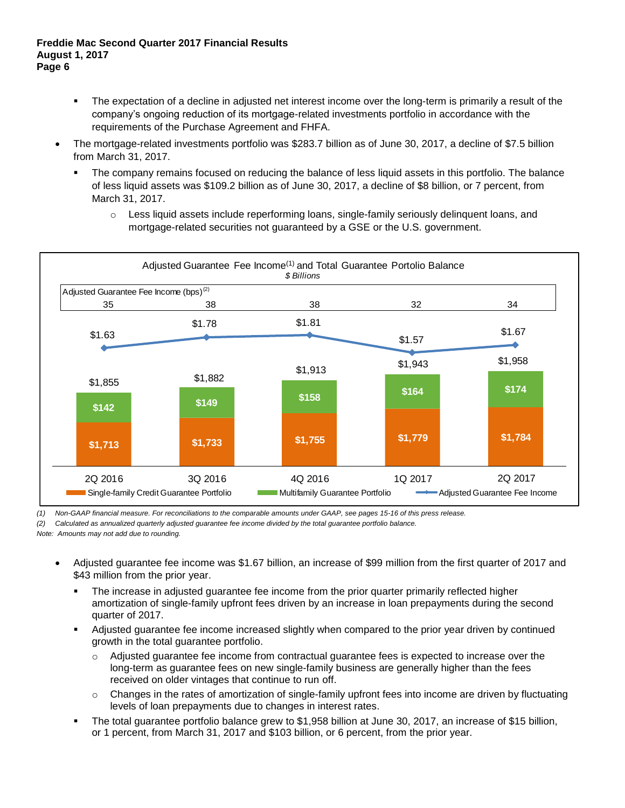- The expectation of a decline in adjusted net interest income over the long-term is primarily a result of the company's ongoing reduction of its mortgage-related investments portfolio in accordance with the requirements of the Purchase Agreement and FHFA.
- The mortgage-related investments portfolio was \$283.7 billion as of June 30, 2017, a decline of \$7.5 billion from March 31, 2017.
	- The company remains focused on reducing the balance of less liquid assets in this portfolio. The balance of less liquid assets was \$109.2 billion as of June 30, 2017, a decline of \$8 billion, or 7 percent, from March 31, 2017.
		- $\circ$  Less liquid assets include reperforming loans, single-family seriously delinguent loans, and mortgage-related securities not guaranteed by a GSE or the U.S. government.



*(1) Non-GAAP financial measure. For reconciliations to the comparable amounts under GAAP, see pages 15-16 of this press release.* 

*(2) Calculated as annualized quarterly adjusted guarantee fee income divided by the total guarantee portfolio balance.*

- Adjusted guarantee fee income was \$1.67 billion, an increase of \$99 million from the first quarter of 2017 and \$43 million from the prior year.
	- The increase in adjusted guarantee fee income from the prior quarter primarily reflected higher amortization of single-family upfront fees driven by an increase in loan prepayments during the second quarter of 2017.
	- Adjusted guarantee fee income increased slightly when compared to the prior year driven by continued growth in the total guarantee portfolio.
		- o Adjusted guarantee fee income from contractual guarantee fees is expected to increase over the long-term as guarantee fees on new single-family business are generally higher than the fees received on older vintages that continue to run off.
		- $\circ$  Changes in the rates of amortization of single-family upfront fees into income are driven by fluctuating levels of loan prepayments due to changes in interest rates.
	- The total guarantee portfolio balance grew to \$1,958 billion at June 30, 2017, an increase of \$15 billion, or 1 percent, from March 31, 2017 and \$103 billion, or 6 percent, from the prior year.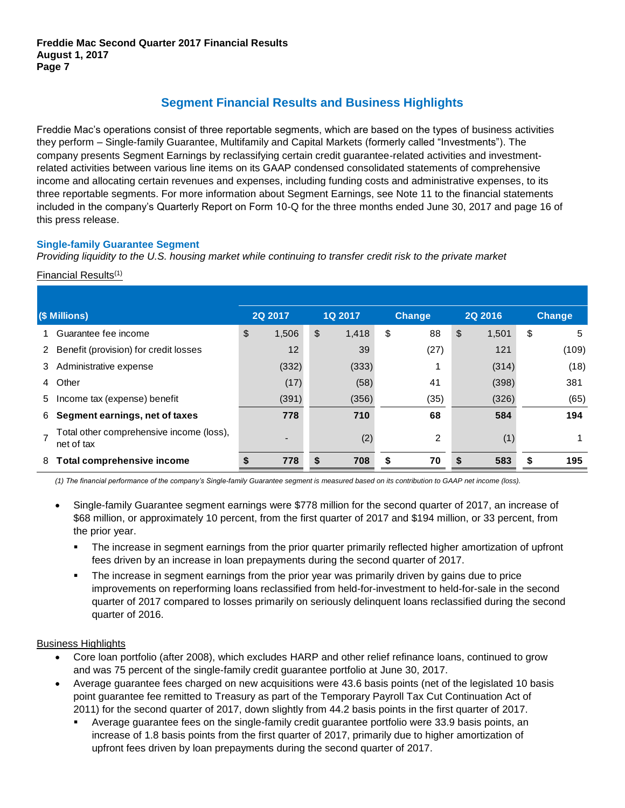# **Segment Financial Results and Business Highlights**

Freddie Mac's operations consist of three reportable segments, which are based on the types of business activities they perform – Single-family Guarantee, Multifamily and Capital Markets (formerly called "Investments"). The company presents Segment Earnings by reclassifying certain credit guarantee-related activities and investmentrelated activities between various line items on its GAAP condensed consolidated statements of comprehensive income and allocating certain revenues and expenses, including funding costs and administrative expenses, to its three reportable segments. For more information about Segment Earnings, see Note 11 to the financial statements included in the company's Quarterly Report on Form 10-Q for the three months ended June 30, 2017 and page 16 of this press release.

## **Single-family Guarantee Segment**

### Financial Results(1)

|               | Providing liquidity to the U.S. housing market while continuing to transfer credit risk to the private market                                   |         |       |    |         |    |                |    |                |    |               |  |  |  |  |
|---------------|-------------------------------------------------------------------------------------------------------------------------------------------------|---------|-------|----|---------|----|----------------|----|----------------|----|---------------|--|--|--|--|
|               | Financial Results <sup>(1)</sup>                                                                                                                |         |       |    |         |    |                |    |                |    |               |  |  |  |  |
|               |                                                                                                                                                 |         |       |    |         |    |                |    |                |    |               |  |  |  |  |
| (\$ Millions) |                                                                                                                                                 | 2Q 2017 |       |    | 1Q 2017 |    | <b>Change</b>  |    | <b>2Q 2016</b> |    | <b>Change</b> |  |  |  |  |
|               | Guarantee fee income                                                                                                                            | \$      | 1,506 | \$ | 1,418   | \$ | 88             | \$ | 1,501          | \$ | 5             |  |  |  |  |
| 2             | Benefit (provision) for credit losses                                                                                                           |         | 12    |    | 39      |    | (27)           |    | 121            |    | (109)         |  |  |  |  |
| 3             | Administrative expense                                                                                                                          |         | (332) |    | (333)   |    |                |    | (314)          |    | (18)          |  |  |  |  |
| 4             | Other                                                                                                                                           |         | (17)  |    | (58)    |    | 41             |    | (398)          |    | 381           |  |  |  |  |
| 5             | Income tax (expense) benefit                                                                                                                    |         | (391) |    | (356)   |    | (35)           |    | (326)          |    | (65)          |  |  |  |  |
| 6             | Segment earnings, net of taxes                                                                                                                  |         | 778   |    | 710     |    | 68             |    | 584            |    | 194           |  |  |  |  |
|               | Total other comprehensive income (loss),<br>net of tax                                                                                          |         |       |    | (2)     |    | $\overline{2}$ |    | (1)            |    |               |  |  |  |  |
| 8             | <b>Total comprehensive income</b>                                                                                                               |         | 778   | \$ | 708     | \$ | 70             | S  | 583            |    | 195           |  |  |  |  |
|               | (1) The financial performance of the company's Single-family Guarantee segment is measured based on its contribution to GAAP net income (loss). |         |       |    |         |    |                |    |                |    |               |  |  |  |  |

*(1) The financial performance of the company's Single-family Guarantee segment is measured based on its contribution to GAAP net income (loss).*

- Single-family Guarantee segment earnings were \$778 million for the second quarter of 2017, an increase of \$68 million, or approximately 10 percent, from the first quarter of 2017 and \$194 million, or 33 percent, from the prior year.
	- The increase in segment earnings from the prior quarter primarily reflected higher amortization of upfront fees driven by an increase in loan prepayments during the second quarter of 2017.
	- The increase in segment earnings from the prior year was primarily driven by gains due to price improvements on reperforming loans reclassified from held-for-investment to held-for-sale in the second quarter of 2017 compared to losses primarily on seriously delinquent loans reclassified during the second quarter of 2016.

### Business Highlights

- Core loan portfolio (after 2008), which excludes HARP and other relief refinance loans, continued to grow and was 75 percent of the single-family credit guarantee portfolio at June 30, 2017.
- Average guarantee fees charged on new acquisitions were 43.6 basis points (net of the legislated 10 basis point guarantee fee remitted to Treasury as part of the Temporary Payroll Tax Cut Continuation Act of 2011) for the second quarter of 2017, down slightly from 44.2 basis points in the first quarter of 2017.
	- Average guarantee fees on the single-family credit guarantee portfolio were 33.9 basis points, an increase of 1.8 basis points from the first quarter of 2017, primarily due to higher amortization of upfront fees driven by loan prepayments during the second quarter of 2017.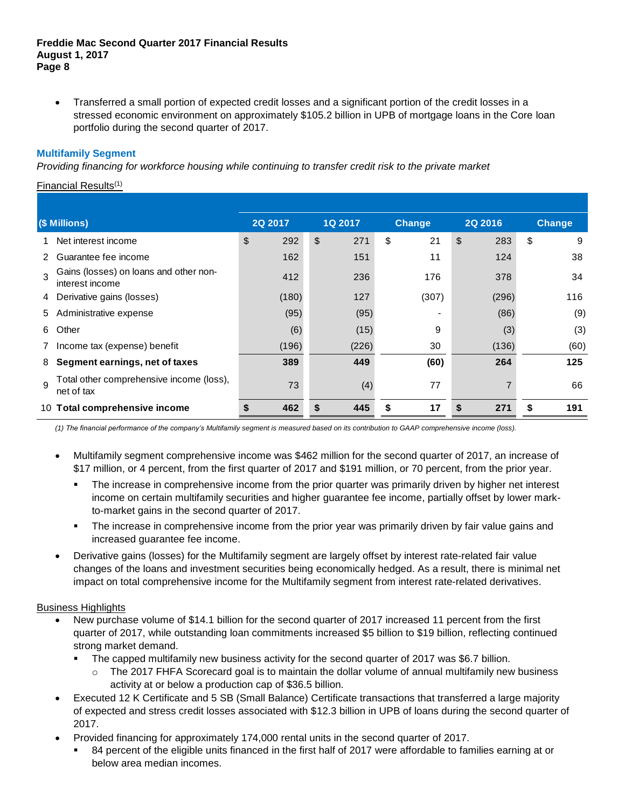Transferred a small portion of expected credit losses and a significant portion of the credit losses in a stressed economic environment on approximately \$105.2 billion in UPB of mortgage loans in the Core loan portfolio during the second quarter of 2017.

### **Multifamily Segment**

|              | Providing financing for workforce housing while continuing to transfer credit risk to the private market                                      |    |         |    |         |    |               |    |                |    |               |  |  |  |
|--------------|-----------------------------------------------------------------------------------------------------------------------------------------------|----|---------|----|---------|----|---------------|----|----------------|----|---------------|--|--|--|
|              | Financial Results <sup>(1)</sup>                                                                                                              |    |         |    |         |    |               |    |                |    |               |  |  |  |
|              |                                                                                                                                               |    |         |    |         |    |               |    |                |    |               |  |  |  |
|              | (\$ Millions)                                                                                                                                 |    | 2Q 2017 |    | 1Q 2017 |    | <b>Change</b> |    | <b>2Q 2016</b> |    | <b>Change</b> |  |  |  |
|              | Net interest income                                                                                                                           | \$ | 292     | \$ | 271     | \$ | 21            | \$ | 283            | \$ | 9             |  |  |  |
| 2            | Guarantee fee income                                                                                                                          |    | 162     |    | 151     |    | 11            |    | 124            |    | 38            |  |  |  |
| $\mathbf{R}$ | Gains (losses) on loans and other non-<br>interest income                                                                                     |    | 412     |    | 236     |    | 176           |    | 378            |    | 34            |  |  |  |
| 4            | Derivative gains (losses)                                                                                                                     |    | (180)   |    | 127     |    | (307)         |    | (296)          |    | 116           |  |  |  |
| 5            | Administrative expense                                                                                                                        |    | (95)    |    | (95)    |    |               |    | (86)           |    | (9)           |  |  |  |
| 6            | Other                                                                                                                                         |    | (6)     |    | (15)    |    | 9             |    | (3)            |    | (3)           |  |  |  |
|              | Income tax (expense) benefit                                                                                                                  |    | (196)   |    | (226)   |    | 30            |    | (136)          |    | (60)          |  |  |  |
| 8            | Segment earnings, net of taxes                                                                                                                |    | 389     |    | 449     |    | (60)          |    | 264            |    | 125           |  |  |  |
| $\mathsf{Q}$ | Total other comprehensive income (loss),<br>net of tax                                                                                        |    | 73      |    | (4)     |    | 77            |    | 7              |    | 66            |  |  |  |
|              | 10 Total comprehensive income                                                                                                                 | S  | 462     | \$ | 445     | \$ | 17            | S  | 271            | \$ | 191           |  |  |  |
|              | (1) The financial performance of the company's Multifamily segment is measured based on its contribution to GAAP comprehensive income (loss). |    |         |    |         |    |               |    |                |    |               |  |  |  |

*(1) The financial performance of the company's Multifamily segment is measured based on its contribution to GAAP comprehensive income (loss).*

- Multifamily segment comprehensive income was \$462 million for the second quarter of 2017, an increase of \$17 million, or 4 percent, from the first quarter of 2017 and \$191 million, or 70 percent, from the prior year.
	- The increase in comprehensive income from the prior quarter was primarily driven by higher net interest income on certain multifamily securities and higher guarantee fee income, partially offset by lower markto-market gains in the second quarter of 2017.
	- The increase in comprehensive income from the prior year was primarily driven by fair value gains and increased guarantee fee income.
- Derivative gains (losses) for the Multifamily segment are largely offset by interest rate-related fair value changes of the loans and investment securities being economically hedged. As a result, there is minimal net impact on total comprehensive income for the Multifamily segment from interest rate-related derivatives.

### Business Highlights

- New purchase volume of \$14.1 billion for the second quarter of 2017 increased 11 percent from the first quarter of 2017, while outstanding loan commitments increased \$5 billion to \$19 billion, reflecting continued strong market demand.
	- The capped multifamily new business activity for the second quarter of 2017 was \$6.7 billion.
		- $\circ$  The 2017 FHFA Scorecard goal is to maintain the dollar volume of annual multifamily new business activity at or below a production cap of \$36.5 billion.
- Executed 12 K Certificate and 5 SB (Small Balance) Certificate transactions that transferred a large majority of expected and stress credit losses associated with \$12.3 billion in UPB of loans during the second quarter of 2017.
- Provided financing for approximately 174,000 rental units in the second quarter of 2017.
	- 84 percent of the eligible units financed in the first half of 2017 were affordable to families earning at or below area median incomes.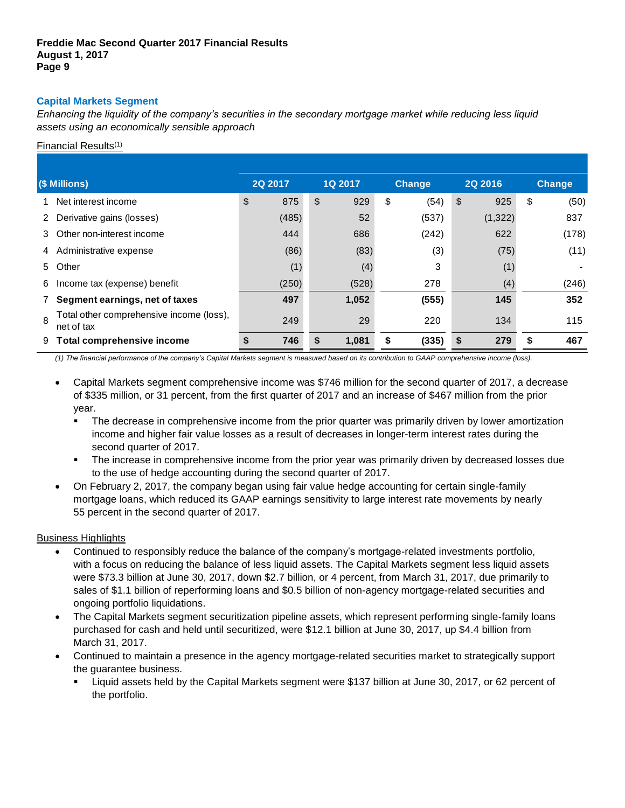## **Capital Markets Segment**

*Enhancing the liquidity of the company's securities in the secondary mortgage market while reducing less liquid assets using an economically sensible approach*

### Financial Results<sup>(1)</sup>

|               | Financial Results <sup>(1)</sup>                       |                |       |         |       |               |       |                |               |
|---------------|--------------------------------------------------------|----------------|-------|---------|-------|---------------|-------|----------------|---------------|
|               |                                                        |                |       |         |       |               |       |                |               |
| (\$ Millions) |                                                        | <b>2Q 2017</b> |       | 1Q 2017 |       | <b>Change</b> |       | <b>2Q 2016</b> | <b>Change</b> |
|               | Net interest income                                    | \$             | 875   | \$      | 929   | \$            | (54)  | \$<br>925      | \$<br>(50)    |
|               | 2 Derivative gains (losses)                            |                | (485) |         | 52    |               | (537) | (1, 322)       | 837           |
| 3             | Other non-interest income                              |                | 444   |         | 686   |               | (242) | 622            | (178)         |
|               | 4 Administrative expense                               |                | (86)  |         | (83)  |               | (3)   | (75)           | (11)          |
| 5             | Other                                                  |                | (1)   |         | (4)   |               | 3     | (1)            |               |
| 6             | Income tax (expense) benefit                           |                | (250) |         | (528) |               | 278   | (4)            | (246)         |
|               | Segment earnings, net of taxes                         |                | 497   |         | 1,052 |               | (555) | 145            | 352           |
| 8             | Total other comprehensive income (loss),<br>net of tax |                | 249   |         | 29    |               | 220   | 134            | 115           |
| 9             | Total comprehensive income                             |                | 746   | \$      | 1,081 | \$            | (335) | \$<br>279      | 467           |

*(1) The financial performance of the company's Capital Markets segment is measured based on its contribution to GAAP comprehensive income (loss).*

- Capital Markets segment comprehensive income was \$746 million for the second quarter of 2017, a decrease of \$335 million, or 31 percent, from the first quarter of 2017 and an increase of \$467 million from the prior year.
	- **The decrease in comprehensive income from the prior quarter was primarily driven by lower amortization** income and higher fair value losses as a result of decreases in longer-term interest rates during the second quarter of 2017.
	- The increase in comprehensive income from the prior year was primarily driven by decreased losses due to the use of hedge accounting during the second quarter of 2017.
- On February 2, 2017, the company began using fair value hedge accounting for certain single-family mortgage loans, which reduced its GAAP earnings sensitivity to large interest rate movements by nearly 55 percent in the second quarter of 2017.

### Business Highlights

- Continued to responsibly reduce the balance of the company's mortgage-related investments portfolio, with a focus on reducing the balance of less liquid assets. The Capital Markets segment less liquid assets were \$73.3 billion at June 30, 2017, down \$2.7 billion, or 4 percent, from March 31, 2017, due primarily to sales of \$1.1 billion of reperforming loans and \$0.5 billion of non-agency mortgage-related securities and ongoing portfolio liquidations.
- The Capital Markets segment securitization pipeline assets, which represent performing single-family loans purchased for cash and held until securitized, were \$12.1 billion at June 30, 2017, up \$4.4 billion from March 31, 2017.
- Continued to maintain a presence in the agency mortgage-related securities market to strategically support the guarantee business.
	- Liquid assets held by the Capital Markets segment were \$137 billion at June 30, 2017, or 62 percent of the portfolio.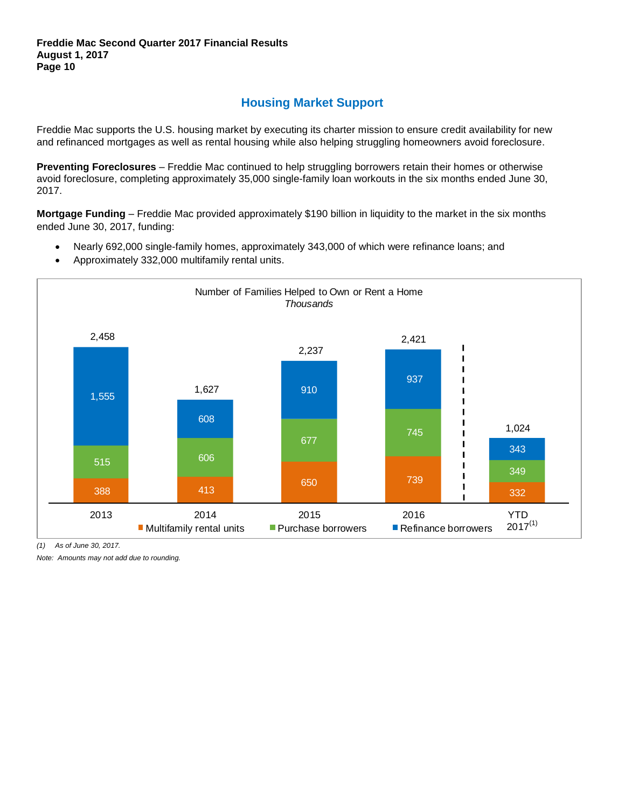# **Housing Market Support**

Freddie Mac supports the U.S. housing market by executing its charter mission to ensure credit availability for new and refinanced mortgages as well as rental housing while also helping struggling homeowners avoid foreclosure.

**Preventing Foreclosures** – Freddie Mac continued to help struggling borrowers retain their homes or otherwise avoid foreclosure, completing approximately 35,000 single-family loan workouts in the six months ended June 30, 2017.

**Mortgage Funding** – Freddie Mac provided approximately \$190 billion in liquidity to the market in the six months ended June 30, 2017, funding:

- Nearly 692,000 single-family homes, approximately 343,000 of which were refinance loans; and
- Approximately 332,000 multifamily rental units.



*(1) As of June 30, 2017.*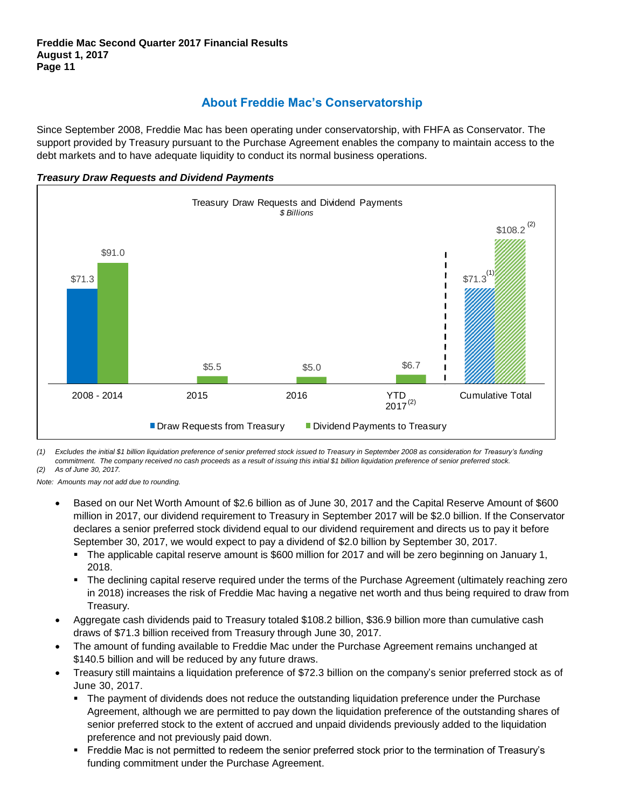## **About Freddie Mac's Conservatorship**

Since September 2008, Freddie Mac has been operating under conservatorship, with FHFA as Conservator. The support provided by Treasury pursuant to the Purchase Agreement enables the company to maintain access to the debt markets and to have adequate liquidity to conduct its normal business operations.





*(1) Excludes the initial \$1 billion liquidation preference of senior preferred stock issued to Treasury in September 2008 as consideration for Treasury's funding commitment. The company received no cash proceeds as a result of issuing this initial \$1 billion liquidation preference of senior preferred stock. (2) As of June 30, 2017.*

- Based on our Net Worth Amount of \$2.6 billion as of June 30, 2017 and the Capital Reserve Amount of \$600 million in 2017, our dividend requirement to Treasury in September 2017 will be \$2.0 billion. If the Conservator declares a senior preferred stock dividend equal to our dividend requirement and directs us to pay it before September 30, 2017, we would expect to pay a dividend of \$2.0 billion by September 30, 2017.
	- The applicable capital reserve amount is \$600 million for 2017 and will be zero beginning on January 1, 2018.
	- The declining capital reserve required under the terms of the Purchase Agreement (ultimately reaching zero in 2018) increases the risk of Freddie Mac having a negative net worth and thus being required to draw from Treasury.
- Aggregate cash dividends paid to Treasury totaled \$108.2 billion, \$36.9 billion more than cumulative cash draws of \$71.3 billion received from Treasury through June 30, 2017.
- The amount of funding available to Freddie Mac under the Purchase Agreement remains unchanged at \$140.5 billion and will be reduced by any future draws.
- Treasury still maintains a liquidation preference of \$72.3 billion on the company's senior preferred stock as of June 30, 2017.
	- **The payment of dividends does not reduce the outstanding liquidation preference under the Purchase** Agreement, although we are permitted to pay down the liquidation preference of the outstanding shares of senior preferred stock to the extent of accrued and unpaid dividends previously added to the liquidation preference and not previously paid down.
	- Freddie Mac is not permitted to redeem the senior preferred stock prior to the termination of Treasury's funding commitment under the Purchase Agreement.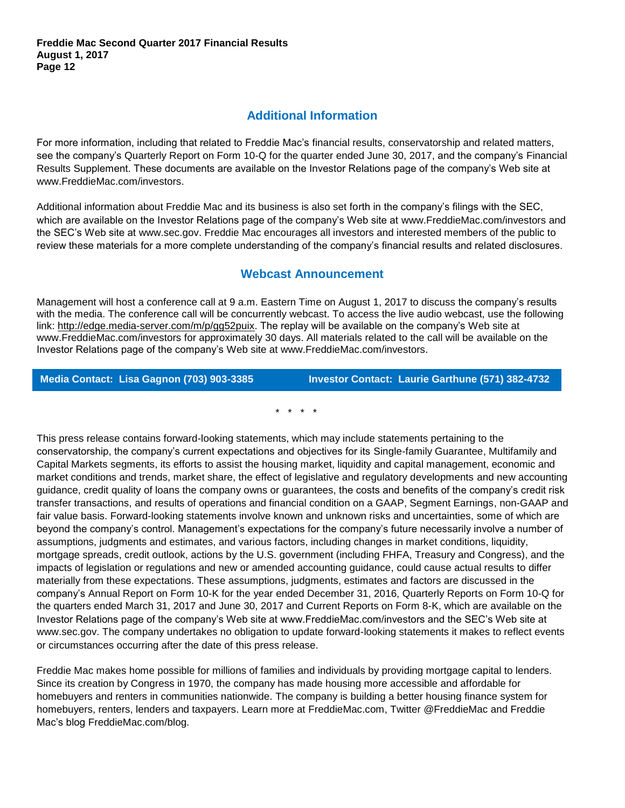## **Additional Information**

For more information, including that related to Freddie Mac's financial results, conservatorship and related matters, see the company's Quarterly Report on Form 10-Q for the quarter ended June 30, 2017, and the company's Financial Results Supplement. These documents are available on the Investor Relations page of the company's Web site at [www.FreddieMac.com/investors.](http://www.freddiemac.com/investors)

Additional information about Freddie Mac and its business is also set forth in the company's filings with the SEC, which are available on the Investor Relations page of the company's Web site at [www.FreddieMac.com/investors](http://www.freddiemac.com/investors) and the SEC's Web site at [www.sec.gov.](http://www.sec.gov/) Freddie Mac encourages all investors and interested members of the public to review these materials for a more complete understanding of the company's financial results and related disclosures.

## **Webcast Announcement**

Management will host a conference call at 9 a.m. Eastern Time on August 1, 2017 to discuss the company's results with the media. The conference call will be concurrently webcast. To access the live audio webcast, use the following link: [http://edge.media-server.com/m/p/gg52puix.](http://edge.media-server.com/m/p/gg52puix) The replay will be available on the company's Web site at [www.FreddieMac.com/investors](http://www.freddiemac.com/investors) for approximately 30 days. All materials related to the call will be available on the Investor Relations page of the company's Web site at www.FreddieMac.com/investors.

**Media Contact: Lisa Gagnon (703) 903-3385 Investor Contact: Laurie Garthune (571) 382-4732**

\* \* \* \*

This press release contains forward-looking statements, which may include statements pertaining to the conservatorship, the company's current expectations and objectives for its Single-family Guarantee, Multifamily and Capital Markets segments, its efforts to assist the housing market, liquidity and capital management, economic and market conditions and trends, market share, the effect of legislative and regulatory developments and new accounting guidance, credit quality of loans the company owns or guarantees, the costs and benefits of the company's credit risk transfer transactions, and results of operations and financial condition on a GAAP, Segment Earnings, non-GAAP and fair value basis. Forward-looking statements involve known and unknown risks and uncertainties, some of which are beyond the company's control. Management's expectations for the company's future necessarily involve a number of assumptions, judgments and estimates, and various factors, including changes in market conditions, liquidity, mortgage spreads, credit outlook, actions by the U.S. government (including FHFA, Treasury and Congress), and the impacts of legislation or regulations and new or amended accounting guidance, could cause actual results to differ materially from these expectations. These assumptions, judgments, estimates and factors are discussed in the company's Annual Report on Form 10-K for the year ended December 31, 2016, Quarterly Reports on Form 10-Q for the quarters ended March 31, 2017 and June 30, 2017 and Current Reports on Form 8-K, which are available on the Investor Relations page of the company's Web site at www.FreddieMac.com/investors and the SEC's Web site at www.sec.gov. The company undertakes no obligation to update forward-looking statements it makes to reflect events or circumstances occurring after the date of this press release.

Freddie Mac makes home possible for millions of families and individuals by providing mortgage capital to lenders. Since its creation by Congress in 1970, the company has made housing more accessible and affordable for homebuyers and renters in communities nationwide. The company is building a better housing finance system for homebuyers, renters, lenders and taxpayers. Learn more at FreddieMac.com, Twitter @FreddieMac and Freddie Mac's blog FreddieMac.com/blog.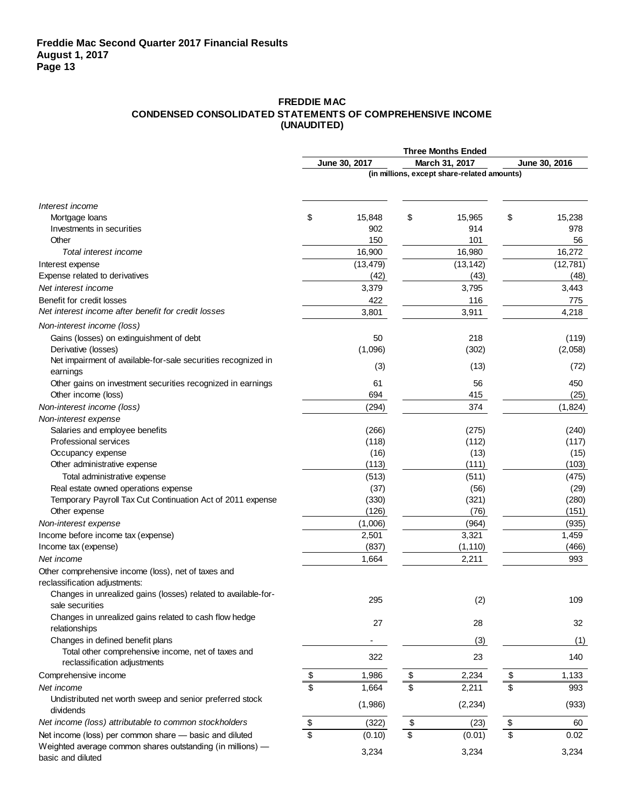### **FREDDIE MAC CONDENSED CONSOLIDATED STATEMENTS OF COMPREHENSIVE INCOME (UNAUDITED)**

|                                                                                      |                         |               | <b>Three Months Ended</b>                   |                 |               |
|--------------------------------------------------------------------------------------|-------------------------|---------------|---------------------------------------------|-----------------|---------------|
|                                                                                      |                         | June 30, 2017 | March 31, 2017                              |                 | June 30, 2016 |
|                                                                                      |                         |               | (in millions, except share-related amounts) |                 |               |
| Interest income                                                                      |                         |               |                                             |                 |               |
| Mortgage loans                                                                       | \$                      | 15,848        | \$<br>15,965                                | \$              | 15,238        |
| Investments in securities                                                            |                         | 902           | 914                                         |                 | 978           |
| Other                                                                                |                         | 150           | 101                                         |                 | 56            |
| Total interest income                                                                |                         | 16,900        | 16,980                                      |                 | 16,272        |
| Interest expense                                                                     |                         | (13, 479)     | (13, 142)                                   |                 | (12, 781)     |
| Expense related to derivatives                                                       |                         | (42)          | (43)                                        |                 | (48)          |
| Net interest income                                                                  |                         | 3,379         | 3,795                                       |                 | 3,443         |
| Benefit for credit losses                                                            |                         | 422           | 116                                         |                 | 775           |
| Net interest income after benefit for credit losses                                  |                         | 3,801         | 3,911                                       |                 | 4,218         |
| Non-interest income (loss)                                                           |                         |               |                                             |                 |               |
| Gains (losses) on extinguishment of debt                                             |                         | 50            | 218                                         |                 | (119)         |
| Derivative (losses)                                                                  |                         | (1,096)       | (302)                                       |                 | (2,058)       |
| Net impairment of available-for-sale securities recognized in<br>earnings            |                         | (3)           | (13)                                        |                 | (72)          |
| Other gains on investment securities recognized in earnings                          |                         | 61            | 56                                          |                 | 450           |
| Other income (loss)                                                                  |                         | 694           | 415                                         |                 | (25)          |
| Non-interest income (loss)                                                           |                         | (294)         | 374                                         |                 | (1,824)       |
| Non-interest expense                                                                 |                         |               |                                             |                 |               |
| Salaries and employee benefits                                                       |                         | (266)         | (275)                                       |                 | (240)         |
| Professional services                                                                |                         | (118)         | (112)                                       |                 | (117)         |
| Occupancy expense                                                                    |                         | (16)          | (13)                                        |                 | (15)          |
| Other administrative expense                                                         |                         | (113)         | (111)                                       |                 | (103)         |
| Total administrative expense                                                         |                         | (513)         | (511)                                       |                 | (475)         |
| Real estate owned operations expense                                                 |                         | (37)          | (56)                                        |                 | (29)          |
| Temporary Payroll Tax Cut Continuation Act of 2011 expense                           |                         | (330)         | (321)                                       |                 | (280)         |
| Other expense                                                                        |                         | (126)         | (76)                                        |                 | (151)         |
| Non-interest expense                                                                 |                         | (1,006)       | (964)                                       |                 | (935)         |
| Income before income tax (expense)                                                   |                         | 2,501         | 3,321                                       |                 | 1,459         |
| Income tax (expense)                                                                 |                         | (837)         | (1, 110)                                    |                 | (466)         |
| Net income                                                                           |                         | 1,664         | 2,211                                       |                 | 993           |
| Other comprehensive income (loss), net of taxes and<br>reclassification adjustments: |                         |               |                                             |                 |               |
| Changes in unrealized gains (losses) related to available-for-                       |                         |               |                                             |                 |               |
| sale securities                                                                      |                         | 295           | (2)                                         |                 | 109           |
| Changes in unrealized gains related to cash flow hedge                               |                         | 27            | 28                                          |                 | 32            |
| relationships                                                                        |                         |               |                                             |                 |               |
| Changes in defined benefit plans                                                     |                         |               | (3)                                         |                 | (1)           |
| Total other comprehensive income, net of taxes and<br>reclassification adjustments   |                         | 322           | 23                                          |                 | 140           |
| Comprehensive income                                                                 | \$                      | 1,986         | \$<br>2,234                                 | \$              | 1,133         |
| Net income                                                                           | $\overline{\mathbb{S}}$ | 1,664         | \$<br>2,211                                 | \$              | 993           |
| Undistributed net worth sweep and senior preferred stock<br>dividends                |                         | (1,986)       | (2, 234)                                    |                 | (933)         |
| Net income (loss) attributable to common stockholders                                | \$                      | (322)         | \$<br>(23)                                  | $\frac{1}{2}$   | 60            |
| Net income (loss) per common share - basic and diluted                               | $\overline{\mathsf{s}}$ | (0.10)        | \$<br>(0.01)                                | $\overline{\$}$ | 0.02          |
| Weighted average common shares outstanding (in millions) -<br>basic and diluted      |                         | 3,234         | 3,234                                       |                 | 3,234         |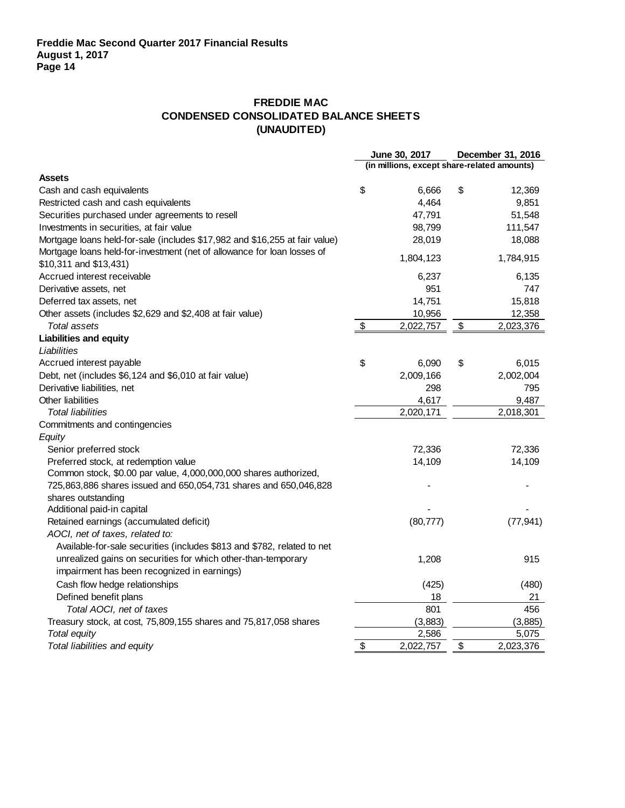## **FREDDIE MAC CONDENSED CONSOLIDATED BALANCE SHEETS (UNAUDITED)**

|                                                                             |                           | June 30, 2017                               | December 31, 2016 |
|-----------------------------------------------------------------------------|---------------------------|---------------------------------------------|-------------------|
|                                                                             |                           | (in millions, except share-related amounts) |                   |
| <b>Assets</b>                                                               |                           |                                             |                   |
| Cash and cash equivalents                                                   | \$                        | 6,666                                       | \$<br>12,369      |
| Restricted cash and cash equivalents                                        |                           | 4,464                                       | 9,851             |
| Securities purchased under agreements to resell                             |                           | 47,791                                      | 51,548            |
| Investments in securities, at fair value                                    |                           | 98,799                                      | 111,547           |
| Mortgage loans held-for-sale (includes \$17,982 and \$16,255 at fair value) |                           | 28,019                                      | 18,088            |
| Mortgage loans held-for-investment (net of allowance for loan losses of     |                           | 1,804,123                                   | 1,784,915         |
| \$10,311 and \$13,431)                                                      |                           |                                             |                   |
| Accrued interest receivable                                                 |                           | 6,237                                       | 6,135             |
| Derivative assets, net                                                      |                           | 951                                         | 747               |
| Deferred tax assets, net                                                    |                           | 14,751                                      | 15,818            |
| Other assets (includes \$2,629 and \$2,408 at fair value)                   |                           | 10,956                                      | 12,358            |
| Total assets                                                                | $\boldsymbol{\mathsf{S}}$ | 2,022,757                                   | \$<br>2,023,376   |
| <b>Liabilities and equity</b>                                               |                           |                                             |                   |
| Liabilities                                                                 |                           |                                             |                   |
| Accrued interest payable                                                    | \$                        | 6,090                                       | \$<br>6,015       |
| Debt, net (includes \$6,124 and \$6,010 at fair value)                      |                           | 2,009,166                                   | 2,002,004         |
| Derivative liabilities, net                                                 |                           | 298                                         | 795               |
| Other liabilities                                                           |                           | 4,617                                       | 9,487             |
| <b>Total liabilities</b>                                                    |                           | 2,020,171                                   | 2,018,301         |
| Commitments and contingencies                                               |                           |                                             |                   |
| Equity                                                                      |                           |                                             |                   |
| Senior preferred stock                                                      |                           | 72,336                                      | 72,336            |
| Preferred stock, at redemption value                                        |                           | 14,109                                      | 14,109            |
| Common stock, \$0.00 par value, 4,000,000,000 shares authorized,            |                           |                                             |                   |
| 725,863,886 shares issued and 650,054,731 shares and 650,046,828            |                           |                                             |                   |
| shares outstanding                                                          |                           |                                             |                   |
| Additional paid-in capital                                                  |                           |                                             |                   |
| Retained earnings (accumulated deficit)                                     |                           | (80, 777)                                   | (77, 941)         |
| AOCI, net of taxes, related to:                                             |                           |                                             |                   |
| Available-for-sale securities (includes \$813 and \$782, related to net     |                           |                                             |                   |
| unrealized gains on securities for which other-than-temporary               |                           | 1,208                                       | 915               |
| impairment has been recognized in earnings)                                 |                           |                                             |                   |
| Cash flow hedge relationships                                               |                           | (425)                                       | (480)             |
| Defined benefit plans                                                       |                           | 18                                          | 21                |
| Total AOCI, net of taxes                                                    |                           | 801                                         | 456               |
| Treasury stock, at cost, 75,809,155 shares and 75,817,058 shares            |                           | (3,883)                                     | (3,885)           |
| <b>Total equity</b>                                                         |                           | 2,586                                       | 5,075             |
| Total liabilities and equity                                                | \$                        | 2,022,757                                   | \$<br>2,023,376   |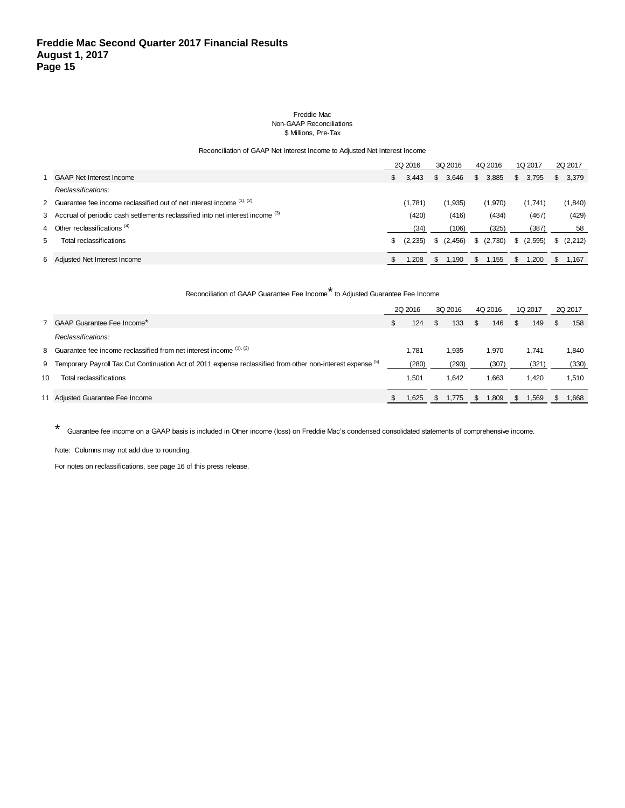#### Freddie Mac Non-GAAP Reconciliations \$ Millions, Pre-Tax

#### Reconciliation of GAAP Net Interest Income to Adjusted Net Interest Income

|   |                                                                                             |  | 2Q 2016 |     |          |    | 3Q 2016 |     | 4Q 2016 |   | 1Q 2017   |  | 2Q 2017 |
|---|---------------------------------------------------------------------------------------------|--|---------|-----|----------|----|---------|-----|---------|---|-----------|--|---------|
|   | <b>GAAP Net Interest Income</b>                                                             |  | 3.443   | S.  | 3,646    | \$ | 3,885   | S.  | 3.795   |   | \$3,379   |  |         |
|   | Reclassifications:                                                                          |  |         |     |          |    |         |     |         |   |           |  |         |
|   | 2 Guarantee fee income reclassified out of net interest income $(1)$ , $(2)$                |  | (1,781) |     | (1,935)  |    | (1,970) |     | (1,741) |   | (1,840)   |  |         |
|   | 3 Accrual of periodic cash settlements reclassified into net interest income <sup>(3)</sup> |  | (420)   |     | (416)    |    | (434)   |     | (467)   |   | (429)     |  |         |
|   | 4 Other reclassifications (4)                                                               |  | (34)    |     | (106)    |    | (325)   |     | (387)   |   | 58        |  |         |
| 5 | Total reclassifications                                                                     |  | (2,235) |     | (2, 456) |    | (2,730) |     | (2,595) |   | \$(2,212) |  |         |
|   | 6 Adjusted Net Interest Income                                                              |  | 208. ا  | \$. | 1,190    | S  | 1,155   | \$. | 1,200   | S | 1.167     |  |         |

### Reconciliation of GAAP Guarantee Fee Income\* to Adjusted Guarantee Fee Income

|    |                                                                                                               | 2Q 2016 |  | 3Q 2016 |               | 4Q 2016 |    | 1Q 2017 |  | 2Q 2017 |
|----|---------------------------------------------------------------------------------------------------------------|---------|--|---------|---------------|---------|----|---------|--|---------|
|    | 7 GAAP Guarantee Fee Income*                                                                                  | 124     |  | 133     | <sup>\$</sup> | 146     | -S | 149     |  | 158     |
|    | Reclassifications:                                                                                            |         |  |         |               |         |    |         |  |         |
|    | 8 Guarantee fee income reclassified from net interest income (1), (2)                                         | 1.781   |  | 1.935   |               | 1.970   |    | 1.741   |  | 1.840   |
|    | 9 Temporary Payroll Tax Cut Continuation Act of 2011 expense reclassified from other non-interest expense (b) | (280)   |  | (293)   |               | (307)   |    | (321)   |  | (330)   |
| 10 | Total reclassifications                                                                                       | 1.501   |  | 1.642   |               | 1.663   |    | 1.420   |  | 1,510   |
|    | 11 Adjusted Guarantee Fee Income                                                                              | l,625   |  | 1,775   |               | 1,809   |    | 1,569   |  | 1,668   |

\* Guarantee fee income on a GAAP basis is included in Other income (loss) on Freddie Mac's condensed consolidated statements of comprehensive income.

Note: Columns may not add due to rounding.

For notes on reclassifications, see page 16 of this press release.